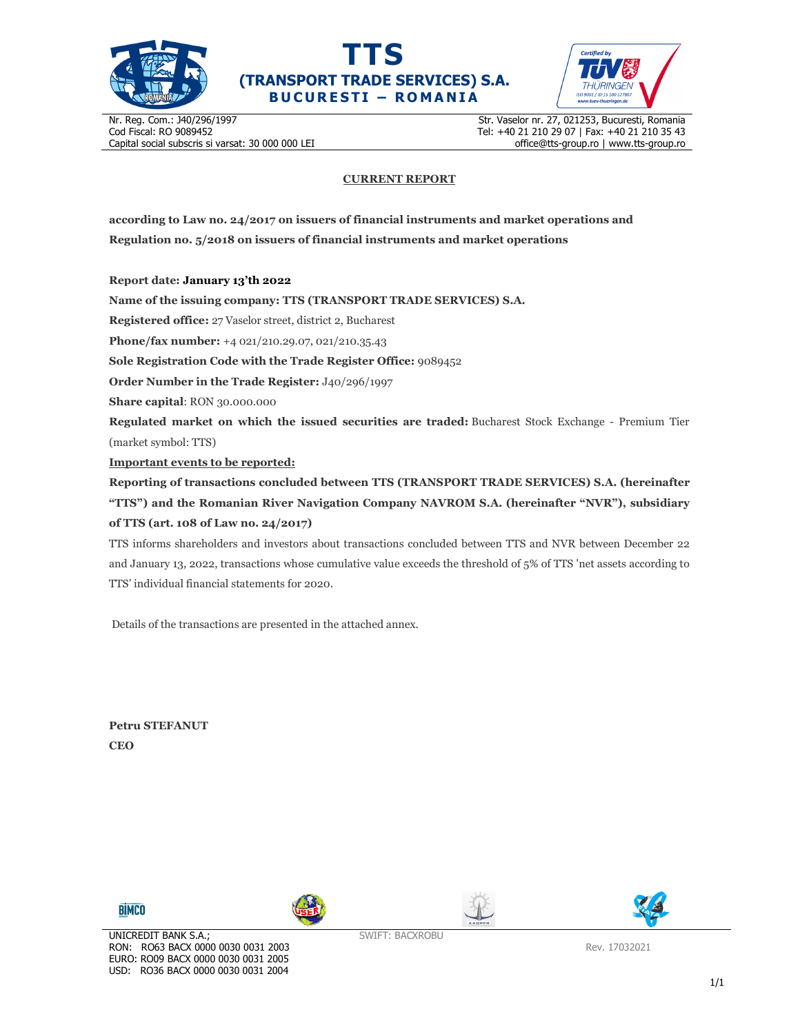





Nr. Reg. Com.: J40/296/1997 Cod Fiscal: RO 9089452 Capital social subscris si varsat: 30 000 000 LEI Str. Vaselor nr. 27, 021253, Bucuresti, Romania Tel: +40 21 210 29 07 | Fax: +40 21 210 35 43 office@tts-group.ro | www.tts-group.ro

## **CURRENT REPORT**

**according to Law no. 24/2017 on issuers of financial instruments and market operations and Regulation no. 5/2018 on issuers of financial instruments and market operations** 

**Report date: January 13'th 2022**

**Name of the issuing company: TTS (TRANSPORT TRADE SERVICES) S.A.**

**Registered office:** 27 Vaselor street, district 2, Bucharest

**Phone/fax number:** +4 021/210.29.07, 021/210.35.43

**Sole Registration Code with the Trade Register Office:** 9089452

**Order Number in the Trade Register:** J40/296/1997

**Share capital**: RON 30.000.000

**Regulated market on which the issued securities are traded:** Bucharest Stock Exchange - Premium Tier (market symbol: TTS)

**Important events to be reported:**

**Reporting of transactions concluded between TTS (TRANSPORT TRADE SERVICES) S.A. (hereinafter "TTS") and the Romanian River Navigation Company NAVROM S.A. (hereinafter "NVR"), subsidiary of TTS (art. 108 of Law no. 24/2017)** 

TTS informs shareholders and investors about transactions concluded between TTS and NVR between December 22 and January 13, 2022, transactions whose cumulative value exceeds the threshold of 5% of TTS 'net assets according to TTS' individual financial statements for 2020.

Details of the transactions are presented in the attached annex.

**Petru STEFANUT CEO** 









SWIFT: BACXROBU

Rev. 17032021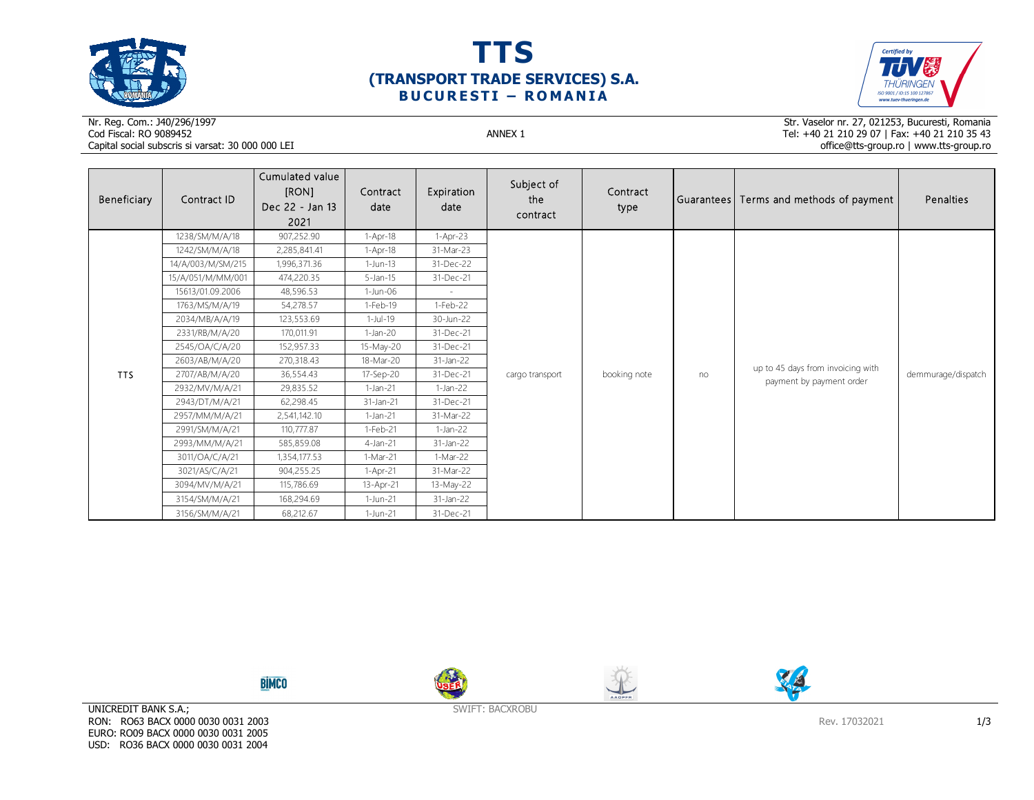





## Nr. Reg. Com.: J40/296/1997Cod Fiscal: RO 9089452 ANNEX 1 Capital social subscris si varsat: 30 000 000 LEI

Str. Vaselor nr. 27, 021253, Bucuresti, Romania Tel: +40 21 210 29 07 | Fax: +40 21 210 35 43 office@tts-group.ro | www.tts-group.ro

| Beneficiary | Contract ID       | Cumulated value<br>[RON]<br>Dec 22 - Jan 13<br>2021 | Contract<br>date | Expiration<br>date | Subject of<br>the<br>contract | Contract<br>type |    | Guarantees Terms and methods of payment                       | Penalties          |
|-------------|-------------------|-----------------------------------------------------|------------------|--------------------|-------------------------------|------------------|----|---------------------------------------------------------------|--------------------|
|             | 1238/SM/M/A/18    | 907,252.90                                          | $1-Apr-18$       | $1-Apr-23$         |                               | booking note     | no | up to 45 days from invoicing with<br>payment by payment order | demmurage/dispatch |
|             | 1242/SM/M/A/18    | 2,285,841.41                                        | $1-Apr-18$       | 31-Mar-23          |                               |                  |    |                                                               |                    |
|             | 14/A/003/M/SM/215 | 1,996,371.36                                        | $1-Jun-13$       | 31-Dec-22          | cargo transport               |                  |    |                                                               |                    |
|             | 15/A/051/M/MM/001 | 474,220.35                                          | $5$ -Jan-15      | 31-Dec-21          |                               |                  |    |                                                               |                    |
|             | 15613/01.09.2006  | 48,596.53                                           | 1-Jun-06         | $\sim$             |                               |                  |    |                                                               |                    |
|             | 1763/MS/M/A/19    | 54,278.57                                           | 1-Feb-19         | 1-Feb-22           |                               |                  |    |                                                               |                    |
|             | 2034/MB/A/A/19    | 123,553.69                                          | $1$ -Jul-19      | 30-Jun-22          |                               |                  |    |                                                               |                    |
|             | 2331/RB/M/A/20    | 170,011.91                                          | $1-Jan-20$       | 31-Dec-21          |                               |                  |    |                                                               |                    |
|             | 2545/OA/C/A/20    | 152,957.33                                          | 15-May-20        | 31-Dec-21          |                               |                  |    |                                                               |                    |
|             | 2603/AB/M/A/20    | 270,318.43                                          | 18-Mar-20        | 31-Jan-22          |                               |                  |    |                                                               |                    |
| TTS         | 2707/AB/M/A/20    | 36,554.43                                           | 17-Sep-20        | 31-Dec-21          |                               |                  |    |                                                               |                    |
|             | 2932/MV/M/A/21    | 29,835.52                                           | $1-Jan-21$       | $1-Jan-22$         |                               |                  |    |                                                               |                    |
|             | 2943/DT/M/A/21    | 62,298.45                                           | 31-Jan-21        | 31-Dec-21          |                               |                  |    |                                                               |                    |
|             | 2957/MM/M/A/21    | 2,541,142.10                                        | $1-Jan-21$       | 31-Mar-22          |                               |                  |    |                                                               |                    |
|             | 2991/SM/M/A/21    | 110,777.87                                          | 1-Feb-21         | $1-Jan-22$         |                               |                  |    |                                                               |                    |
|             | 2993/MM/M/A/21    | 585,859.08                                          | 4-Jan-21         | 31-Jan-22          |                               |                  |    |                                                               |                    |
|             | 3011/OA/C/A/21    | 1,354,177.53                                        | 1-Mar-21         | $1-Mar-22$         |                               |                  |    |                                                               |                    |
|             | 3021/AS/C/A/21    | 904,255.25                                          | 1-Apr-21         | 31-Mar-22          |                               |                  |    |                                                               |                    |
|             | 3094/MV/M/A/21    | 115,786.69                                          | 13-Apr-21        | 13-May-22          |                               |                  |    |                                                               |                    |
|             | 3154/SM/M/A/21    | 168,294.69                                          | 1-Jun-21         | 31-Jan-22          |                               |                  |    |                                                               |                    |
|             | 3156/SM/M/A/21    | 68,212.67                                           | 1-Jun-21         | 31-Dec-21          |                               |                  |    |                                                               |                    |

**BİMCO** 







SWIFT: BACXROBU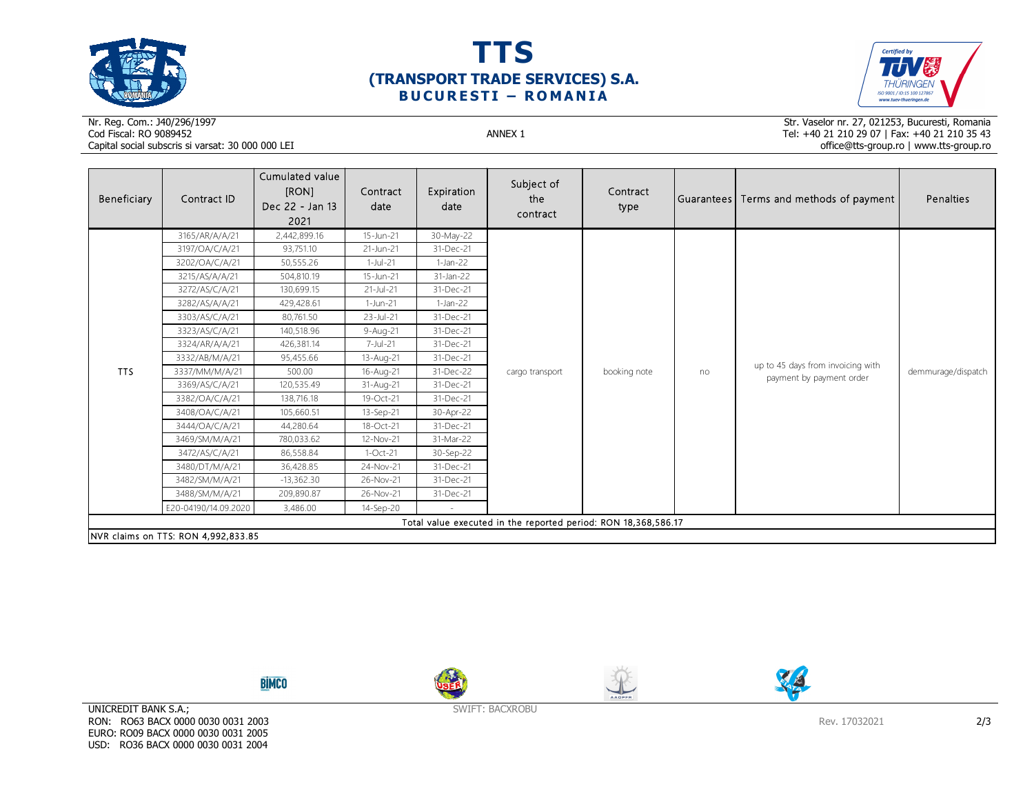





## Nr. Reg. Com.: J40/296/1997Cod Fiscal: RO 9089452 ANNEX 1 Capital social subscris si varsat: 30 000 000 LEI

Str. Vaselor nr. 27, 021253, Bucuresti, Romania Tel: +40 21 210 29 07 | Fax: +40 21 210 35 43 office@tts-group.ro | www.tts-group.ro

| Beneficiary                                                    | Contract ID                         | Cumulated value<br>[RON]<br>Dec 22 - Jan 13<br>2021 | Contract<br>date | Expiration<br>date | Subject of<br>the<br>contract | Contract<br>type |    | Guarantees Terms and methods of payment                       | Penalties          |
|----------------------------------------------------------------|-------------------------------------|-----------------------------------------------------|------------------|--------------------|-------------------------------|------------------|----|---------------------------------------------------------------|--------------------|
|                                                                | 3165/AR/A/A/21                      | 2,442,899.16                                        | 15-Jun-21        | 30-May-22          |                               | booking note     | no | up to 45 days from invoicing with<br>payment by payment order | demmurage/dispatch |
|                                                                | 3197/OA/C/A/21                      | 93,751.10                                           | 21-Jun-21        | 31-Dec-21          |                               |                  |    |                                                               |                    |
|                                                                | 3202/OA/C/A/21                      | 50,555.26                                           | 1-Jul-21         | $1-Jan-22$         |                               |                  |    |                                                               |                    |
|                                                                | 3215/AS/A/A/21                      | 504,810.19                                          | 15-Jun-21        | 31-Jan-22          |                               |                  |    |                                                               |                    |
|                                                                | 3272/AS/C/A/21                      | 130,699.15                                          | 21-Jul-21        | 31-Dec-21          |                               |                  |    |                                                               |                    |
|                                                                | 3282/AS/A/A/21                      | 429,428.61                                          | 1-Jun-21         | $1-Jan-22$         |                               |                  |    |                                                               |                    |
|                                                                | 3303/AS/C/A/21                      | 80,761.50                                           | 23-Jul-21        | 31-Dec-21          |                               |                  |    |                                                               |                    |
|                                                                | 3323/AS/C/A/21                      | 140,518.96                                          | 9-Aug-21         | 31-Dec-21          |                               |                  |    |                                                               |                    |
|                                                                | 3324/AR/A/A/21                      | 426,381.14                                          | 7-Jul-21         | 31-Dec-21          | cargo transport               |                  |    |                                                               |                    |
|                                                                | 3332/AB/M/A/21                      | 95,455.66                                           | 13-Aug-21        | 31-Dec-21          |                               |                  |    |                                                               |                    |
| <b>TTS</b>                                                     | 3337/MM/M/A/21                      | 500.00                                              | 16-Aug-21        | 31-Dec-22          |                               |                  |    |                                                               |                    |
|                                                                | 3369/AS/C/A/21                      | 120,535.49                                          | 31-Aug-21        | 31-Dec-21          |                               |                  |    |                                                               |                    |
|                                                                | 3382/OA/C/A/21                      | 138,716.18                                          | 19-Oct-21        | 31-Dec-21          |                               |                  |    |                                                               |                    |
|                                                                | 3408/OA/C/A/21                      | 105,660.51                                          | 13-Sep-21        | 30-Apr-22          |                               |                  |    |                                                               |                    |
|                                                                | 3444/OA/C/A/21                      | 44,280.64                                           | 18-Oct-21        | 31-Dec-21          |                               |                  |    |                                                               |                    |
|                                                                | 3469/SM/M/A/21                      | 780,033.62                                          | 12-Nov-21        | 31-Mar-22          |                               |                  |    |                                                               |                    |
|                                                                | 3472/AS/C/A/21                      | 86,558.84                                           | $1-Oct-21$       | 30-Sep-22          |                               |                  |    |                                                               |                    |
|                                                                | 3480/DT/M/A/21                      | 36,428.85                                           | 24-Nov-21        | 31-Dec-21          |                               |                  |    |                                                               |                    |
|                                                                | 3482/SM/M/A/21                      | $-13,362.30$                                        | 26-Nov-21        | 31-Dec-21          |                               |                  |    |                                                               |                    |
|                                                                | 3488/SM/M/A/21                      | 209,890.87                                          | 26-Nov-21        | 31-Dec-21          |                               |                  |    |                                                               |                    |
|                                                                | E20-04190/14.09.2020                | 3,486.00                                            | 14-Sep-20        |                    |                               |                  |    |                                                               |                    |
| Total value executed in the reported period: RON 18,368,586.17 |                                     |                                                     |                  |                    |                               |                  |    |                                                               |                    |
|                                                                | NVR claims on TTS: RON 4,992,833.85 |                                                     |                  |                    |                               |                  |    |                                                               |                    |









UNICREDIT BANK S.A.; RON: RO63 BACX 0000 0030 0031 2003 EURO: RO09 BACX 0000 0030 0031 2005 USD: RO36 BACX 0000 0030 0031 2004

SWIFT: BACXROBU